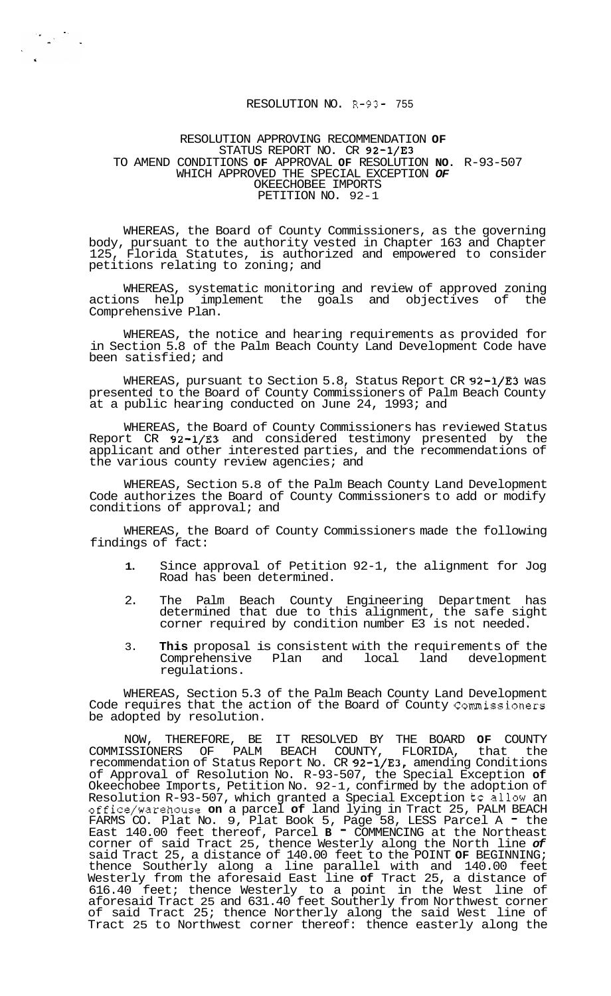## RESOLUTION NO. R-93- 755

## RESOLUTION APPROVING RECOMMENDATION **OF**  STATUS REPORT NO. CR 92-1/E3 TO AMEND CONDITIONS **OF** APPROVAL **OF** RESOLUTION **NO.** R-93-507 WHICH APPROVED THE SPECIAL EXCEPTION *OF*  OKEECHOBEE IMPORTS PETITION NO. 92-1

 $\label{eq:2} \frac{1}{\sqrt{2}}\sum_{i=1}^n\frac{1}{\sqrt{2}}\sum_{i=1}^n\frac{1}{\sqrt{2}}\sum_{i=1}^n\frac{1}{\sqrt{2}}\sum_{i=1}^n\frac{1}{\sqrt{2}}\sum_{i=1}^n\frac{1}{\sqrt{2}}\sum_{i=1}^n\frac{1}{\sqrt{2}}\sum_{i=1}^n\frac{1}{\sqrt{2}}\sum_{i=1}^n\frac{1}{\sqrt{2}}\sum_{i=1}^n\frac{1}{\sqrt{2}}\sum_{i=1}^n\frac{1}{\sqrt{2}}\sum_{i=1}^n\frac{1$ 

WHEREAS, the Board of County Commissioners, as the governing body, pursuant to the authority vested in Chapter 163 and Chapter 125, Florida Statutes, is authorized and empowered to consider petitions relating to zoning; and

WHEREAS, systematic monitoring and review of approved zoning actions help implement the goals and objectives of the Comprehensive Plan.

WHEREAS, the notice and hearing requirements as provided for in Section 5.8 of the Palm Beach County Land Development Code have been satisfied; and

WHEREAS, pursuant to Section 5.8, Status Report CR 92-1/E3 was presented to the Board of County Commissioners of Palm Beach County at a public hearing conducted on June 24, 1993; and

WHEREAS, the Board of County Commissioners has reviewed Status Report CR 92-1/E3 and considered testimony presented by the applicant and other interested parties, and the recommendations of the various county review agencies; and

WHEREAS, Section 5.8 of the Palm Beach County Land Development Code authorizes the Board of County Commissioners to add or modify conditions of approval; and

WHEREAS, the Board of County Commissioners made the following findings of fact:

- **1.** Since approval of Petition 92-1, the alignment for Jog Road has been determined.
- 2. The Palm Beach County Engineering Department has determined that due to this alignment, the safe sight corner required by condition number E3 is not needed.
- 3. **This** proposal is consistent with the requirements of the Comprehensive Plan and local land development regulations.

WHEREAS, Section 5.3 of the Palm Beach County Land Development Code requires that the action of the Board of County Commissioners be adopted by resolution.

NOW, THEREFORE, BE IT RESOLVED BY THE BOARD **OF** COUNTY COMMISSIONERS OF PALM BEACH COUNTY, FLORIDA, that the recommendation of Status Report No. CR 92-1/E3, amending Conditions of Approval of Resolution No. R-93-507, the Special Exception **of**  Okeechobee Imports, Petition No. 92-1, confirmed by the adoption of Resolution R-93-507, which granted a Special Exception to allow an office/warehouse **on** a parcel **of** land lying in Tract 25, PALM BEACH FARMS CO. Plat No. 9, Plat Book 5, Page 58, LESS Parcel A - the East 140.00 feet thereof, Parcel **B** - COMMENCING at the Northeast corner of said Tract 25, thence Westerly along the North line *of*  said Tract 25, a distance of 140.00 feet to the POINT **OF** BEGINNING; thence Southerly along a line parallel with and 140.00 feet Westerly from the aforesaid East line **of** Tract 25, a distance of 616.40 feet; thence Westerly to a point in the West line of aforesaid Tract 25 and 631.40 feet Southerly from Northwest corner of said Tract 25; thence Northerly along the said West line of Tract 25 to Northwest corner thereof: thence easterly along the